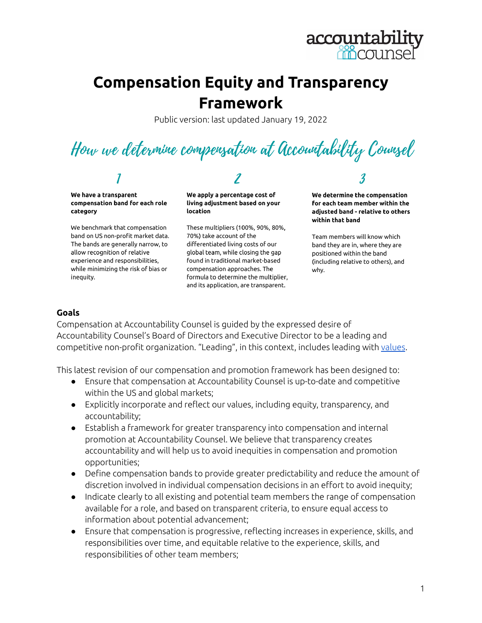

## **Compensation Equity and Transparency Framework**

Public version: last updated January 19, 2022

How we determine compensation at Accountability Counsel

We have a transparent compensation band for each role category

We benchmark that compensation band on US non-profit market data. The bands are generally narrow, to allow recognition of relative experience and responsibilities, while minimizing the risk of bias or inequity.

We apply a percentage cost of living adjustment based on your location

These multipliers (100%, 90%, 80%, 70%) take account of the differentiated living costs of our global team, while closing the gap found in traditional market-based compensation approaches. The formula to determine the multiplier, and its application, are transparent.

We determine the compensation for each team member within the adjusted band - relative to others within that band

3

Team members will know which band they are in, where they are positioned within the band (including relative to others), and why.

#### **Goals**

Compensation at Accountability Counsel is guided by the expressed desire of Accountability Counsel's Board of Directors and Executive Director to be a leading and competitive non-profit organization. "Leading", in this context, includes leading with [values](https://www.accountabilitycounsel.org/about-us/).

This latest revision of our compensation and promotion framework has been designed to:

- Ensure that compensation at Accountability Counsel is up-to-date and competitive within the US and global markets;
- Explicitly incorporate and reflect our values, including equity, transparency, and accountability;
- Establish a framework for greater transparency into compensation and internal promotion at Accountability Counsel. We believe that transparency creates accountability and will help us to avoid inequities in compensation and promotion opportunities;
- Define compensation bands to provide greater predictability and reduce the amount of discretion involved in individual compensation decisions in an effort to avoid inequity;
- Indicate clearly to all existing and potential team members the range of compensation available for a role, and based on transparent criteria, to ensure equal access to information about potential advancement;
- Ensure that compensation is progressive, reflecting increases in experience, skills, and responsibilities over time, and equitable relative to the experience, skills, and responsibilities of other team members;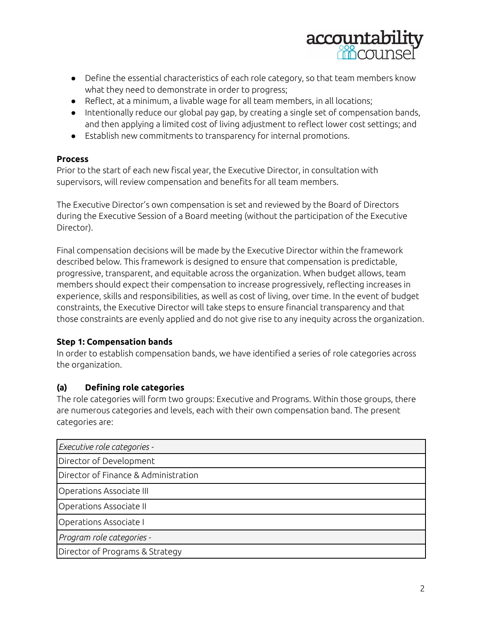

- Define the essential characteristics of each role category, so that team members know what they need to demonstrate in order to progress;
- Reflect, at a minimum, a livable wage for all team members, in all locations;
- Intentionally reduce our global pay gap, by creating a single set of compensation bands, and then applying a limited cost of living adjustment to reflect lower cost settings; and
- Establish new commitments to transparency for internal promotions.

#### **Process**

Prior to the start of each new fiscal year, the Executive Director, in consultation with supervisors, will review compensation and benefits for all team members.

The Executive Director's own compensation is set and reviewed by the Board of Directors during the Executive Session of a Board meeting (without the participation of the Executive Director).

Final compensation decisions will be made by the Executive Director within the framework described below. This framework is designed to ensure that compensation is predictable, progressive, transparent, and equitable across the organization. When budget allows, team members should expect their compensation to increase progressively, reflecting increases in experience, skills and responsibilities, as well as cost of living, over time. In the event of budget constraints, the Executive Director will take steps to ensure financial transparency and that those constraints are evenly applied and do not give rise to any inequity across the organization.

#### **Step 1: Compensation bands**

In order to establish compensation bands, we have identified a series of role categories across the organization.

#### **(a) Defining role categories**

The role categories will form two groups: Executive and Programs. Within those groups, there are numerous categories and levels, each with their own compensation band. The present categories are: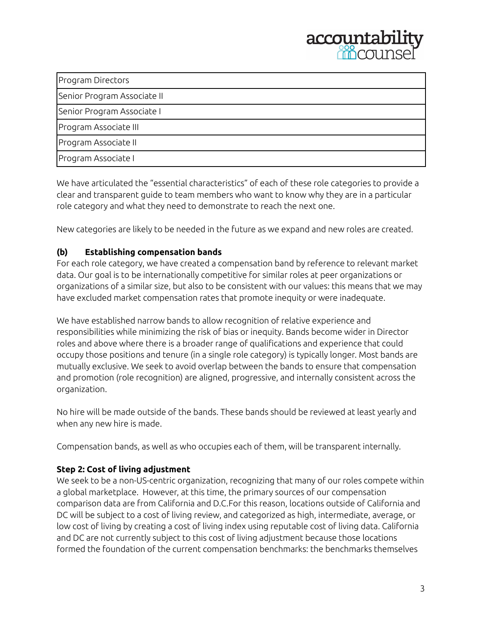

| Program Directors           |  |
|-----------------------------|--|
| Senior Program Associate II |  |
| Senior Program Associate I  |  |
| Program Associate III       |  |
| Program Associate II        |  |
| Program Associate I         |  |

We have articulated the "essential characteristics" of each of these role categories to provide a clear and transparent guide to team members who want to know why they are in a particular role category and what they need to demonstrate to reach the next one.

New categories are likely to be needed in the future as we expand and new roles are created.

#### **(b) Establishing compensation bands**

For each role category, we have created a compensation band by reference to relevant market data. Our goal is to be internationally competitive for similar roles at peer organizations or organizations of a similar size, but also to be consistent with our values: this means that we may have excluded market compensation rates that promote inequity or were inadequate.

We have established narrow bands to allow recognition of relative experience and responsibilities while minimizing the risk of bias or inequity. Bands become wider in Director roles and above where there is a broader range of qualifications and experience that could occupy those positions and tenure (in a single role category) is typically longer. Most bands are mutually exclusive. We seek to avoid overlap between the bands to ensure that compensation and promotion (role recognition) are aligned, progressive, and internally consistent across the organization.

No hire will be made outside of the bands. These bands should be reviewed at least yearly and when any new hire is made.

Compensation bands, as well as who occupies each of them, will be transparent internally.

#### **Step 2: Cost of living adjustment**

We seek to be a non-US-centric organization, recognizing that many of our roles compete within a global marketplace. However, at this time, the primary sources of our compensation comparison data are from California and D.C.For this reason, locations outside of California and DC will be subject to a cost of living review, and categorized as high, intermediate, average, or low cost of living by creating a cost of living index using reputable cost of living data. California and DC are not currently subject to this cost of living adjustment because those locations formed the foundation of the current compensation benchmarks: the benchmarks themselves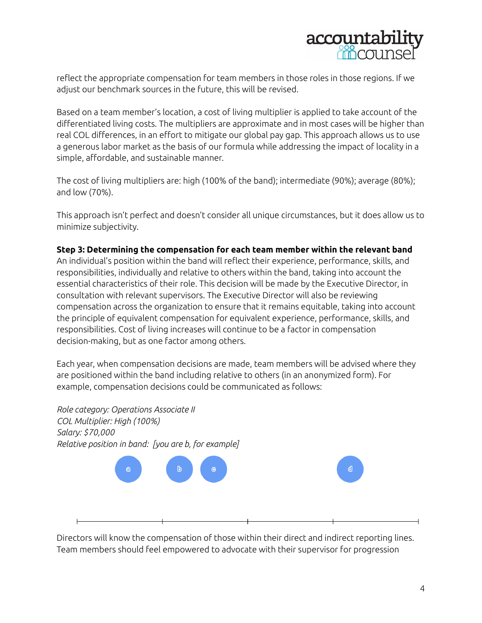

reflect the appropriate compensation for team members in those roles in those regions. If we adjust our benchmark sources in the future, this will be revised.

Based on a team member's location, a cost of living multiplier is applied to take account of the differentiated living costs. The multipliers are approximate and in most cases will be higher than real COL differences, in an effort to mitigate our global pay gap. This approach allows us to use a generous labor market as the basis of our formula while addressing the impact of locality in a simple, affordable, and sustainable manner.

The cost of living multipliers are: high (100% of the band); intermediate (90%); average (80%); and low (70%).

This approach isn't perfect and doesn't consider all unique circumstances, but it does allow us to minimize subjectivity.

#### **Step 3: Determining the compensation for each team member within the relevant band**

An individual's position within the band will reflect their experience, performance, skills, and responsibilities, individually and relative to others within the band, taking into account the essential characteristics of their role. This decision will be made by the Executive Director, in consultation with relevant supervisors. The Executive Director will also be reviewing compensation across the organization to ensure that it remains equitable, taking into account the principle of equivalent compensation for equivalent experience, performance, skills, and responsibilities. Cost of living increases will continue to be a factor in compensation decision-making, but as one factor among others.

Each year, when compensation decisions are made, team members will be advised where they are positioned within the band including relative to others (in an anonymized form). For example, compensation decisions could be communicated as follows:



Directors will know the compensation of those within their direct and indirect reporting lines. Team members should feel empowered to advocate with their supervisor for progression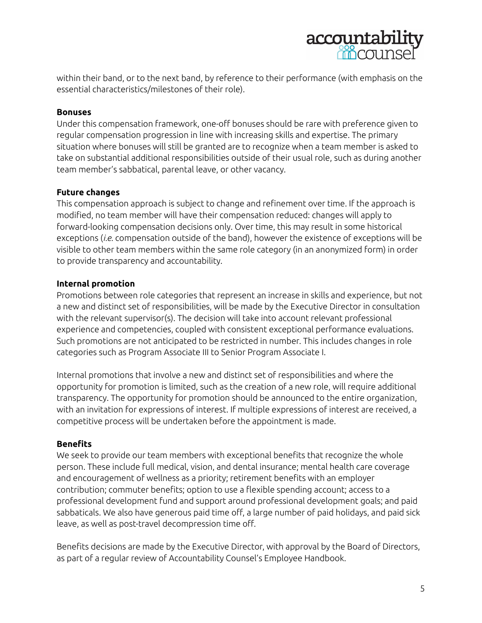

within their band, or to the next band, by reference to their performance (with emphasis on the essential characteristics/milestones of their role).

#### **Bonuses**

Under this compensation framework, one-off bonuses should be rare with preference given to regular compensation progression in line with increasing skills and expertise. The primary situation where bonuses will still be granted are to recognize when a team member is asked to take on substantial additional responsibilities outside of their usual role, such as during another team member's sabbatical, parental leave, or other vacancy.

#### **Future changes**

This compensation approach is subject to change and refinement over time. If the approach is modified, no team member will have their compensation reduced: changes will apply to forward-looking compensation decisions only. Over time, this may result in some historical exceptions (*i.e.* compensation outside of the band), however the existence of exceptions will be visible to other team members within the same role category (in an anonymized form) in order to provide transparency and accountability.

#### **Internal promotion**

Promotions between role categories that represent an increase in skills and experience, but not a new and distinct set of responsibilities, will be made by the Executive Director in consultation with the relevant supervisor(s). The decision will take into account relevant professional experience and competencies, coupled with consistent exceptional performance evaluations. Such promotions are not anticipated to be restricted in number. This includes changes in role categories such as Program Associate III to Senior Program Associate I.

Internal promotions that involve a new and distinct set of responsibilities and where the opportunity for promotion is limited, such as the creation of a new role, will require additional transparency. The opportunity for promotion should be announced to the entire organization, with an invitation for expressions of interest. If multiple expressions of interest are received, a competitive process will be undertaken before the appointment is made.

#### **Benefits**

We seek to provide our team members with exceptional benefits that recognize the whole person. These include full medical, vision, and dental insurance; mental health care coverage and encouragement of wellness as a priority; retirement benefits with an employer contribution; commuter benefits; option to use a flexible spending account; access to a professional development fund and support around professional development goals; and paid sabbaticals. We also have generous paid time off, a large number of paid holidays, and paid sick leave, as well as post-travel decompression time off.

Benefits decisions are made by the Executive Director, with approval by the Board of Directors, as part of a regular review of Accountability Counsel's Employee Handbook.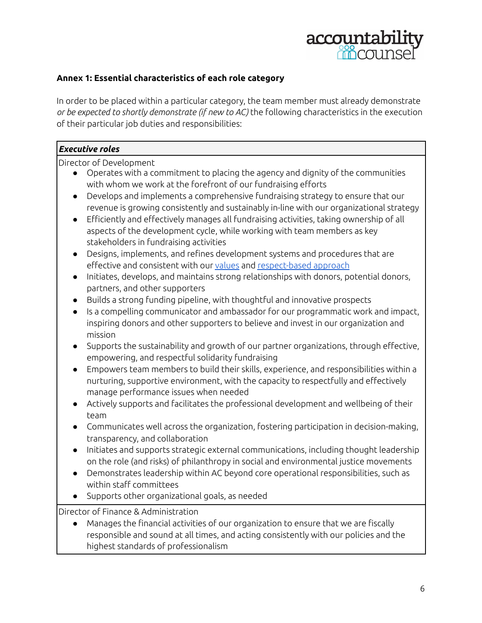

#### **Annex 1: Essential characteristics of each role category**

In order to be placed within a particular category, the team member must already demonstrate *or be expected to shortly demonstrate (if new to AC)* the following characteristics in the execution of their particular job duties and responsibilities:

#### *Executive roles*

Director of Development

- Operates with a commitment to placing the agency and dignity of the communities with whom we work at the forefront of our fundraising efforts
- Develops and implements a comprehensive fundraising strategy to ensure that our revenue is growing consistently and sustainably in-line with our organizational strategy
- Efficiently and effectively manages all fundraising activities, taking ownership of all aspects of the development cycle, while working with team members as key stakeholders in fundraising activities
- Designs, implements, and refines development systems and procedures that are effective and consistent with our [values](https://www.accountabilitycounsel.org/about-us/) and [respect-based](https://www.accountabilitycounsel.org/about-us/respect-based-approach/) approach
- Initiates, develops, and maintains strong relationships with donors, potential donors, partners, and other supporters
- Builds a strong funding pipeline, with thoughtful and innovative prospects
- Is a compelling communicator and ambassador for our programmatic work and impact, inspiring donors and other supporters to believe and invest in our organization and mission
- Supports the sustainability and growth of our partner organizations, through effective, empowering, and respectful solidarity fundraising
- Empowers team members to build their skills, experience, and responsibilities within a nurturing, supportive environment, with the capacity to respectfully and effectively manage performance issues when needed
- Actively supports and facilitates the professional development and wellbeing of their team
- Communicates well across the organization, fostering participation in decision-making, transparency, and collaboration
- Initiates and supports strategic external communications, including thought leadership on the role (and risks) of philanthropy in social and environmental justice movements
- Demonstrates leadership within AC beyond core operational responsibilities, such as within staff committees
- Supports other organizational goals, as needed

Director of Finance & Administration

● Manages the financial activities of our organization to ensure that we are fiscally responsible and sound at all times, and acting consistently with our policies and the highest standards of professionalism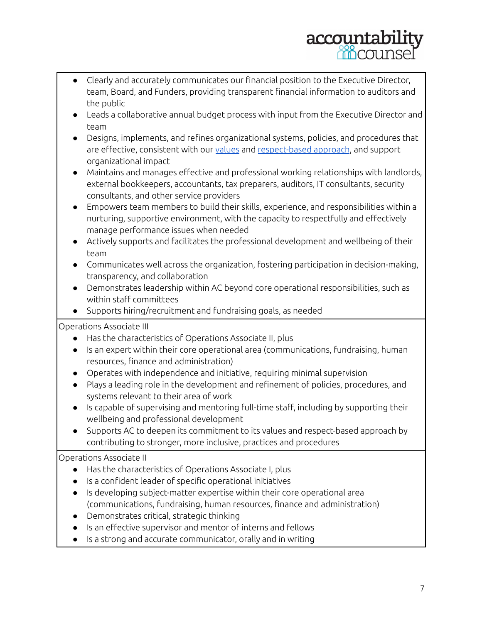# accountabil

- Clearly and accurately communicates our financial position to the Executive Director, team, Board, and Funders, providing transparent financial information to auditors and the public
- Leads a collaborative annual budget process with input from the Executive Director and team
- Designs, implements, and refines organizational systems, policies, and procedures that are effective, consistent with our [values](https://www.accountabilitycounsel.org/about-us/) and [respect-based](https://www.accountabilitycounsel.org/about-us/respect-based-approach/) approach, and support organizational impact
- Maintains and manages effective and professional working relationships with landlords, external bookkeepers, accountants, tax preparers, auditors, IT consultants, security consultants, and other service providers
- Empowers team members to build their skills, experience, and responsibilities within a nurturing, supportive environment, with the capacity to respectfully and effectively manage performance issues when needed
- Actively supports and facilitates the professional development and wellbeing of their team
- Communicates well across the organization, fostering participation in decision-making, transparency, and collaboration
- Demonstrates leadership within AC beyond core operational responsibilities, such as within staff committees
- Supports hiring/recruitment and fundraising goals, as needed

Operations Associate III

- Has the characteristics of Operations Associate II, plus
- Is an expert within their core operational area (communications, fundraising, human resources, finance and administration)
- Operates with independence and initiative, requiring minimal supervision
- Plays a leading role in the development and refinement of policies, procedures, and systems relevant to their area of work
- Is capable of supervising and mentoring full-time staff, including by supporting their wellbeing and professional development
- Supports AC to deepen its commitment to its values and respect-based approach by contributing to stronger, more inclusive, practices and procedures

### Operations Associate II

- Has the characteristics of Operations Associate I, plus
- Is a confident leader of specific operational initiatives
- Is developing subject-matter expertise within their core operational area (communications, fundraising, human resources, finance and administration)
- Demonstrates critical, strategic thinking
- Is an effective supervisor and mentor of interns and fellows
- Is a strong and accurate communicator, orally and in writing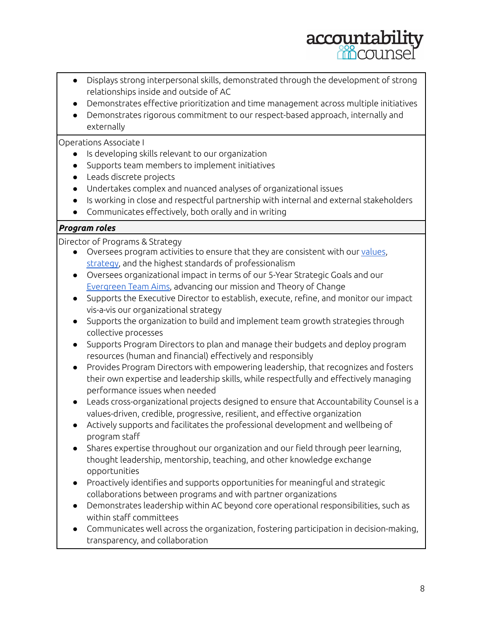

- Displays strong interpersonal skills, demonstrated through the development of strong relationships inside and outside of AC
- Demonstrates effective prioritization and time management across multiple initiatives
- Demonstrates rigorous commitment to our respect-based approach, internally and externally

#### Operations Associate I

- Is developing skills relevant to our organization
- Supports team members to implement initiatives
- Leads discrete projects
- Undertakes complex and nuanced analyses of organizational issues
- Is working in close and respectful partnership with internal and external stakeholders
- Communicates effectively, both orally and in writing

#### *Program roles*

Director of Programs & Strategy

- Oversees program activities to ensure that they are consistent with our [values,](https://www.accountabilitycounsel.org/about-us/) [strategy,](https://www.accountabilitycounsel.org/about-us/strategy/) and the highest standards of professionalism
- Oversees organizational impact in terms of our 5-Year Strategic Goals and our [Evergreen](https://www.accountabilityconsole.com/goals/definitions/) Team Aims, advancing our mission and Theory of Change
- Supports the Executive Director to establish, execute, refine, and monitor our impact vis-a-vis our organizational strategy
- Supports the organization to build and implement team growth strategies through collective processes
- Supports Program Directors to plan and manage their budgets and deploy program resources (human and financial) effectively and responsibly
- Provides Program Directors with empowering leadership, that recognizes and fosters their own expertise and leadership skills, while respectfully and effectively managing performance issues when needed
- Leads cross-organizational projects designed to ensure that Accountability Counsel is a values-driven, credible, progressive, resilient, and effective organization
- Actively supports and facilitates the professional development and wellbeing of program staff
- Shares expertise throughout our organization and our field through peer learning, thought leadership, mentorship, teaching, and other knowledge exchange opportunities
- Proactively identifies and supports opportunities for meaningful and strategic collaborations between programs and with partner organizations
- Demonstrates leadership within AC beyond core operational responsibilities, such as within staff committees
- Communicates well across the organization, fostering participation in decision-making, transparency, and collaboration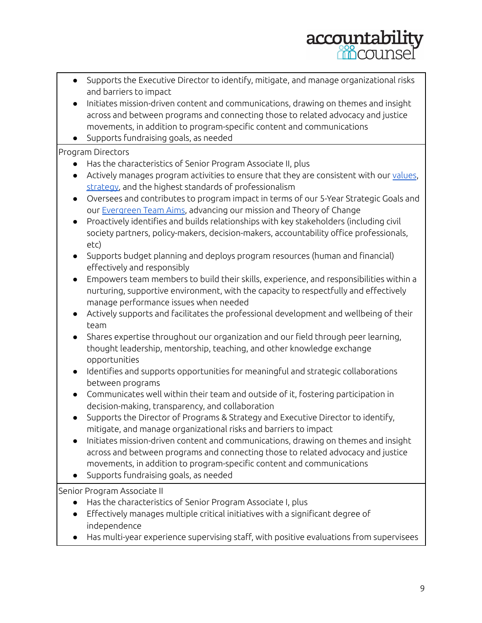# accountabi

- Supports the Executive Director to identify, mitigate, and manage organizational risks and barriers to impact
- Initiates mission-driven content and communications, drawing on themes and insight across and between programs and connecting those to related advocacy and justice movements, in addition to program-specific content and communications
- Supports fundraising goals, as needed

### Program Directors

- Has the characteristics of Senior Program Associate II, plus
- Actively manages program activities to ensure that they are consistent with our [values,](https://www.accountabilitycounsel.org/about-us/) [strategy,](https://www.accountabilitycounsel.org/about-us/strategy/) and the highest standards of professionalism
- Oversees and contributes to program impact in terms of our 5-Year Strategic Goals and our [Evergreen](https://www.accountabilityconsole.com/goals/definitions/) Team Aims, advancing our mission and Theory of Change
- Proactively identifies and builds relationships with key stakeholders (including civil society partners, policy-makers, decision-makers, accountability office professionals, etc)
- Supports budget planning and deploys program resources (human and financial) effectively and responsibly
- Empowers team members to build their skills, experience, and responsibilities within a nurturing, supportive environment, with the capacity to respectfully and effectively manage performance issues when needed
- Actively supports and facilitates the professional development and wellbeing of their team
- Shares expertise throughout our organization and our field through peer learning, thought leadership, mentorship, teaching, and other knowledge exchange opportunities
- Identifies and supports opportunities for meaningful and strategic collaborations between programs
- Communicates well within their team and outside of it, fostering participation in decision-making, transparency, and collaboration
- Supports the Director of Programs & Strategy and Executive Director to identify, mitigate, and manage organizational risks and barriers to impact
- Initiates mission-driven content and communications, drawing on themes and insight across and between programs and connecting those to related advocacy and justice movements, in addition to program-specific content and communications
- Supports fundraising goals, as needed

Senior Program Associate II

- Has the characteristics of Senior Program Associate I, plus
- Effectively manages multiple critical initiatives with a significant degree of independence
- Has multi-year experience supervising staff, with positive evaluations from supervisees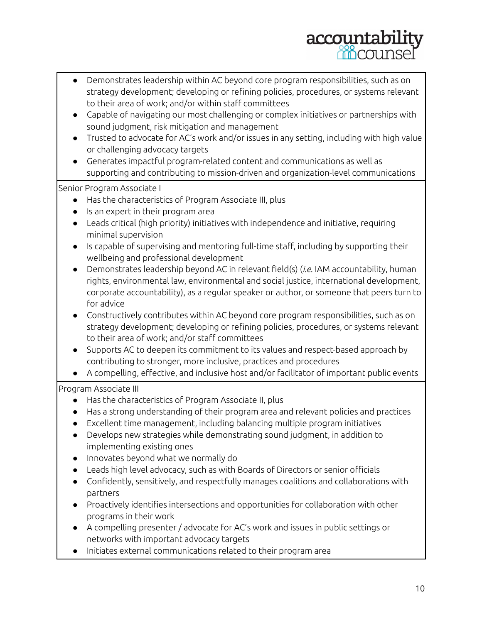# accountabil

- Demonstrates leadership within AC beyond core program responsibilities, such as on strategy development; developing or refining policies, procedures, or systems relevant to their area of work; and/or within staff committees
- Capable of navigating our most challenging or complex initiatives or partnerships with sound judgment, risk mitigation and management
- Trusted to advocate for AC's work and/or issues in any setting, including with high value or challenging advocacy targets
- Generates impactful program-related content and communications as well as supporting and contributing to mission-driven and organization-level communications

Senior Program Associate I

- Has the characteristics of Program Associate III, plus
- Is an expert in their program area
- Leads critical (high priority) initiatives with independence and initiative, requiring minimal supervision
- Is capable of supervising and mentoring full-time staff, including by supporting their wellbeing and professional development
- Demonstrates leadership beyond AC in relevant field(s) (*i.e.* IAM accountability, human rights, environmental law, environmental and social justice, international development, corporate accountability), as a regular speaker or author, or someone that peers turn to for advice
- Constructively contributes within AC beyond core program responsibilities, such as on strategy development; developing or refining policies, procedures, or systems relevant to their area of work; and/or staff committees
- Supports AC to deepen its commitment to its values and respect-based approach by contributing to stronger, more inclusive, practices and procedures
- A compelling, effective, and inclusive host and/or facilitator of important public events

### Program Associate III

- Has the characteristics of Program Associate II, plus
- Has a strong understanding of their program area and relevant policies and practices
- Excellent time management, including balancing multiple program initiatives
- Develops new strategies while demonstrating sound judgment, in addition to implementing existing ones
- Innovates beyond what we normally do
- Leads high level advocacy, such as with Boards of Directors or senior officials
- Confidently, sensitively, and respectfully manages coalitions and collaborations with partners
- Proactively identifies intersections and opportunities for collaboration with other programs in their work
- A compelling presenter / advocate for AC's work and issues in public settings or networks with important advocacy targets
- Initiates external communications related to their program area